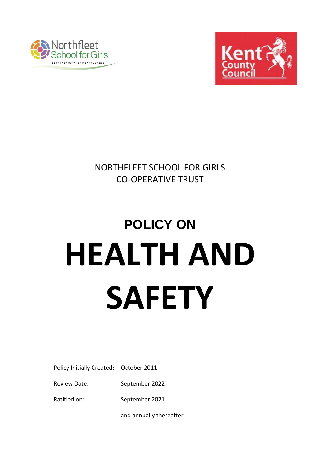



NORTHFLEET SCHOOL FOR GIRLS CO-OPERATIVE TRUST

# **POLICY ON HEALTH AND SAFETY**

Policy Initially Created: October 2011

Review Date: September 2022

Ratified on: September 2021

and annually thereafter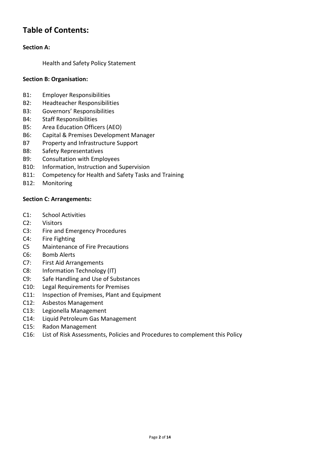### **Table of Contents:**

#### **Section A:**

Health and Safety Policy Statement

#### **Section B: Organisation:**

- B1: Employer Responsibilities
- B2: Headteacher Responsibilities
- B3: Governors' Responsibilities
- B4: Staff Responsibilities
- B5: Area Education Officers (AEO)
- B6: Capital & Premises Development Manager
- B7 Property and Infrastructure Support
- B8: Safety Representatives
- B9: Consultation with Employees
- B10: Information, Instruction and Supervision
- B11: Competency for Health and Safety Tasks and Training
- B12: Monitoring

#### **Section C: Arrangements:**

- C1: School Activities
- C2: Visitors
- C3: Fire and Emergency Procedures
- C4: Fire Fighting
- C5 Maintenance of Fire Precautions
- C6: Bomb Alerts
- C7: First Aid Arrangements
- C8: Information Technology (IT)
- C9: Safe Handling and Use of Substances
- C10: Legal Requirements for Premises
- C11: Inspection of Premises, Plant and Equipment
- C12: Asbestos Management
- C13: Legionella Management
- C14: Liquid Petroleum Gas Management
- C15: Radon Management
- C16: List of Risk Assessments, Policies and Procedures to complement this Policy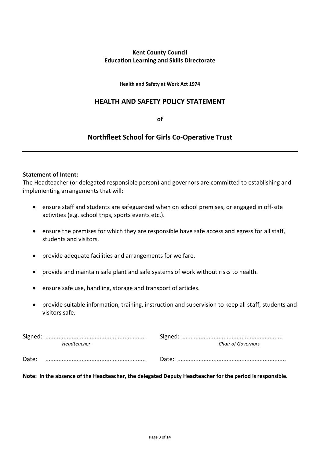#### **Kent County Council Education Learning and Skills Directorate**

**Health and Safety at Work Act 1974**

#### **HEALTH AND SAFETY POLICY STATEMENT**

**of**

#### **Northfleet School for Girls Co-Operative Trust**

#### **Statement of Intent:**

The Headteacher (or delegated responsible person) and governors are committed to establishing and implementing arrangements that will:

- ensure staff and students are safeguarded when on school premises, or engaged in off-site activities (e.g. school trips, sports events etc.).
- ensure the premises for which they are responsible have safe access and egress for all staff, students and visitors.
- provide adequate facilities and arrangements for welfare.
- provide and maintain safe plant and safe systems of work without risks to health.
- ensure safe use, handling, storage and transport of articles.
- provide suitable information, training, instruction and supervision to keep all staff, students and visitors safe.

|       | Headteacher | <b>Chair of Governors</b> |
|-------|-------------|---------------------------|
| Date: |             |                           |
|       |             |                           |

**Note: In the absence of the Headteacher, the delegated Deputy Headteacher for the period is responsible.**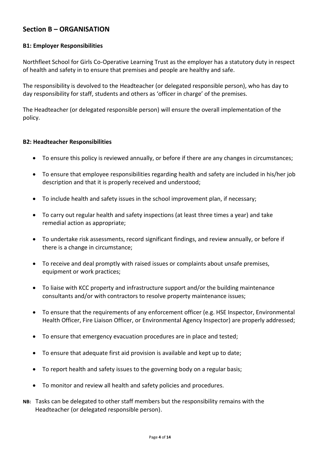#### **Section B – ORGANISATION**

#### **B1: Employer Responsibilities**

Northfleet School for Girls Co-Operative Learning Trust as the employer has a statutory duty in respect of health and safety in to ensure that premises and people are healthy and safe.

The responsibility is devolved to the Headteacher (or delegated responsible person), who has day to day responsibility for staff, students and others as 'officer in charge' of the premises.

The Headteacher (or delegated responsible person) will ensure the overall implementation of the policy.

#### **B2: Headteacher Responsibilities**

- To ensure this policy is reviewed annually, or before if there are any changes in circumstances;
- To ensure that employee responsibilities regarding health and safety are included in his/her job description and that it is properly received and understood;
- To include health and safety issues in the school improvement plan, if necessary;
- To carry out regular health and safety inspections (at least three times a year) and take remedial action as appropriate;
- To undertake risk assessments, record significant findings, and review annually, or before if there is a change in circumstance;
- To receive and deal promptly with raised issues or complaints about unsafe premises, equipment or work practices;
- To liaise with KCC property and infrastructure support and/or the building maintenance consultants and/or with contractors to resolve property maintenance issues;
- To ensure that the requirements of any enforcement officer (e.g. HSE Inspector, Environmental Health Officer, Fire Liaison Officer, or Environmental Agency Inspector) are properly addressed;
- To ensure that emergency evacuation procedures are in place and tested;
- To ensure that adequate first aid provision is available and kept up to date;
- To report health and safety issues to the governing body on a regular basis;
- To monitor and review all health and safety policies and procedures.
- **NB:** Tasks can be delegated to other staff members but the responsibility remains with the Headteacher (or delegated responsible person).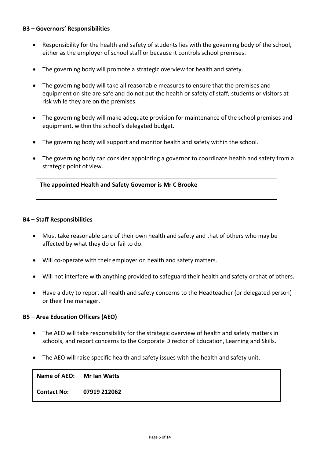#### **B3 – Governors' Responsibilities**

- Responsibility for the health and safety of students lies with the governing body of the school, either as the employer of school staff or because it controls school premises.
- The governing body will promote a strategic overview for health and safety.
- The governing body will take all reasonable measures to ensure that the premises and equipment on site are safe and do not put the health or safety of staff, students or visitors at risk while they are on the premises.
- The governing body will make adequate provision for maintenance of the school premises and equipment, within the school's delegated budget.
- The governing body will support and monitor health and safety within the school.
- The governing body can consider appointing a governor to coordinate health and safety from a strategic point of view.

**The appointed Health and Safety Governor is Mr C Brooke**

#### **B4 – Staff Responsibilities**

- Must take reasonable care of their own health and safety and that of others who may be affected by what they do or fail to do.
- Will co-operate with their employer on health and safety matters.
- Will not interfere with anything provided to safeguard their health and safety or that of others.
- Have a duty to report all health and safety concerns to the Headteacher (or delegated person) or their line manager.

#### **B5 – Area Education Officers (AEO)**

- The AEO will take responsibility for the strategic overview of health and safety matters in schools, and report concerns to the Corporate Director of Education, Learning and Skills.
- The AEO will raise specific health and safety issues with the health and safety unit.

**Name of AEO: Mr Ian Watts**

**Contact No: 07919 212062**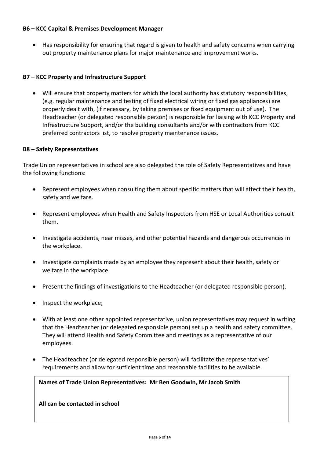#### **B6 – KCC Capital & Premises Development Manager**

 Has responsibility for ensuring that regard is given to health and safety concerns when carrying out property maintenance plans for major maintenance and improvement works.

#### **B7 – KCC Property and Infrastructure Support**

 Will ensure that property matters for which the local authority has statutory responsibilities, (e.g. regular maintenance and testing of fixed electrical wiring or fixed gas appliances) are properly dealt with, (if necessary, by taking premises or fixed equipment out of use). The Headteacher (or delegated responsible person) is responsible for liaising with KCC Property and Infrastructure Support, and/or the building consultants and/or with contractors from KCC preferred contractors list, to resolve property maintenance issues.

#### **B8 – Safety Representatives**

Trade Union representatives in school are also delegated the role of Safety Representatives and have the following functions:

- Represent employees when consulting them about specific matters that will affect their health, safety and welfare.
- Represent employees when Health and Safety Inspectors from HSE or Local Authorities consult them.
- Investigate accidents, near misses, and other potential hazards and dangerous occurrences in the workplace.
- Investigate complaints made by an employee they represent about their health, safety or welfare in the workplace.
- Present the findings of investigations to the Headteacher (or delegated responsible person).
- Inspect the workplace;
- With at least one other appointed representative, union representatives may request in writing that the Headteacher (or delegated responsible person) set up a health and safety committee. They will attend Health and Safety Committee and meetings as a representative of our employees.
- The Headteacher (or delegated responsible person) will facilitate the representatives' requirements and allow for sufficient time and reasonable facilities to be available.

#### **Names of Trade Union Representatives: Mr Ben Goodwin, Mr Jacob Smith**

**All can be contacted in school**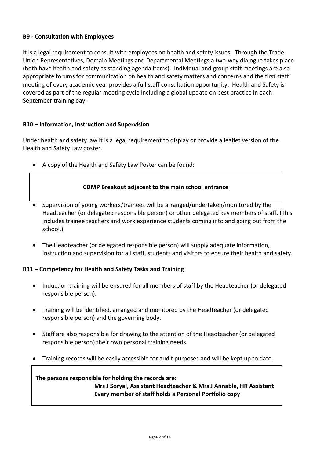#### **B9 - Consultation with Employees**

It is a legal requirement to consult with employees on health and safety issues. Through the Trade Union Representatives, Domain Meetings and Departmental Meetings a two-way dialogue takes place (both have health and safety as standing agenda items). Individual and group staff meetings are also appropriate forums for communication on health and safety matters and concerns and the first staff meeting of every academic year provides a full staff consultation opportunity. Health and Safety is covered as part of the regular meeting cycle including a global update on best practice in each September training day.

#### **B10 – Information, Instruction and Supervision**

Under health and safety law it is a legal requirement to display or provide a leaflet version of the Health and Safety Law poster.

A copy of the Health and Safety Law Poster can be found:

#### **CDMP Breakout adjacent to the main school entrance**

- Supervision of young workers/trainees will be arranged/undertaken/monitored by the Headteacher (or delegated responsible person) or other delegated key members of staff. (This includes trainee teachers and work experience students coming into and going out from the school.)
- The Headteacher (or delegated responsible person) will supply adequate information, instruction and supervision for all staff, students and visitors to ensure their health and safety.

#### **B11 – Competency for Health and Safety Tasks and Training**

- Induction training will be ensured for all members of staff by the Headteacher (or delegated responsible person).
- Training will be identified, arranged and monitored by the Headteacher (or delegated responsible person) and the governing body.
- Staff are also responsible for drawing to the attention of the Headteacher (or delegated responsible person) their own personal training needs.
- Training records will be easily accessible for audit purposes and will be kept up to date.

#### **The persons responsible for holding the records are: Mrs J Soryal, Assistant Headteacher & Mrs J Annable, HR Assistant Every member of staff holds a Personal Portfolio copy**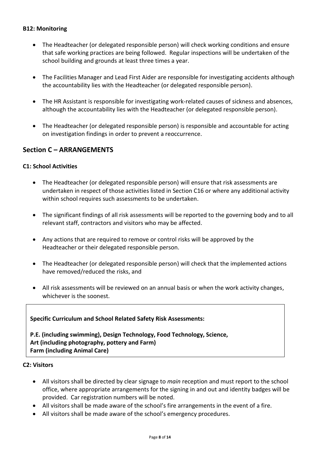#### **B12: Monitoring**

- The Headteacher (or delegated responsible person) will check working conditions and ensure that safe working practices are being followed. Regular inspections will be undertaken of the school building and grounds at least three times a year.
- The Facilities Manager and Lead First Aider are responsible for investigating accidents although the accountability lies with the Headteacher (or delegated responsible person).
- The HR Assistant is responsible for investigating work-related causes of sickness and absences, although the accountability lies with the Headteacher (or delegated responsible person).
- The Headteacher (or delegated responsible person) is responsible and accountable for acting on investigation findings in order to prevent a reoccurrence.

#### **Section C – ARRANGEMENTS**

#### **C1: School Activities**

- The Headteacher (or delegated responsible person) will ensure that risk assessments are undertaken in respect of those activities listed in Section C16 or where any additional activity within school requires such assessments to be undertaken.
- The significant findings of all risk assessments will be reported to the governing body and to all relevant staff, contractors and visitors who may be affected.
- Any actions that are required to remove or control risks will be approved by the Headteacher or their delegated responsible person.
- The Headteacher (or delegated responsible person) will check that the implemented actions have removed/reduced the risks, and
- All risk assessments will be reviewed on an annual basis or when the work activity changes, whichever is the soonest.

## **Specific Curriculum and School Related Safety Risk Assessments: P.E. (including swimming), Design Technology, Food Technology, Science,**

**Art (including photography, pottery and Farm) Farm (including Animal Care)**

#### **C2: Visitors**

- All visitors shall be directed by clear signage to *main* reception and must report to the school office, where appropriate arrangements for the signing in and out and identity badges will be provided. Car registration numbers will be noted.
- All visitors shall be made aware of the school's fire arrangements in the event of a fire.
- All visitors shall be made aware of the school's emergency procedures.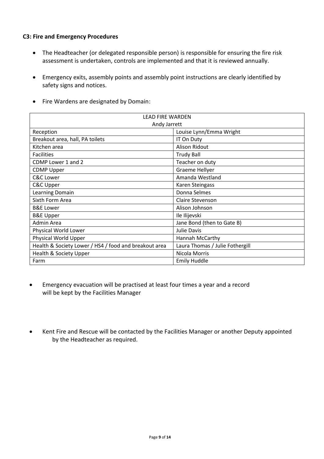#### **C3: Fire and Emergency Procedures**

- The Headteacher (or delegated responsible person) is responsible for ensuring the fire risk assessment is undertaken, controls are implemented and that it is reviewed annually.
- Emergency exits, assembly points and assembly point instructions are clearly identified by safety signs and notices.
- Fire Wardens are designated by Domain:

| <b>LEAD FIRE WARDEN</b>                               |                                 |  |
|-------------------------------------------------------|---------------------------------|--|
| Andy Jarrett                                          |                                 |  |
| Reception                                             | Louise Lynn/Emma Wright         |  |
| Breakout area, hall, PA toilets                       | IT On Duty                      |  |
| Kitchen area                                          | <b>Alison Ridout</b>            |  |
| <b>Facilities</b>                                     | <b>Trudy Ball</b>               |  |
| CDMP Lower 1 and 2                                    | Teacher on duty                 |  |
| <b>CDMP Upper</b>                                     | Graeme Hellyer                  |  |
| C&C Lower                                             | Amanda Westland                 |  |
| C&C Upper                                             | Karen Steingass                 |  |
| Learning Domain                                       | Donna Selmes                    |  |
| Sixth Form Area                                       | <b>Claire Stevenson</b>         |  |
| <b>B&amp;E</b> Lower                                  | Alison Johnson                  |  |
| <b>B&amp;E Upper</b>                                  | Ile Ilijevski                   |  |
| Admin Area                                            | Jane Bond (then to Gate B)      |  |
| Physical World Lower                                  | Julie Davis                     |  |
| Physical World Upper                                  | Hannah McCarthy                 |  |
| Health & Society Lower / HS4 / food and breakout area | Laura Thomas / Julie Fothergill |  |
| Health & Society Upper                                | Nicola Morris                   |  |
| Farm                                                  | <b>Emily Huddle</b>             |  |

- Emergency evacuation will be practised at least four times a year and a record will be kept by the Facilities Manager
- Kent Fire and Rescue will be contacted by the Facilities Manager or another Deputy appointed by the Headteacher as required.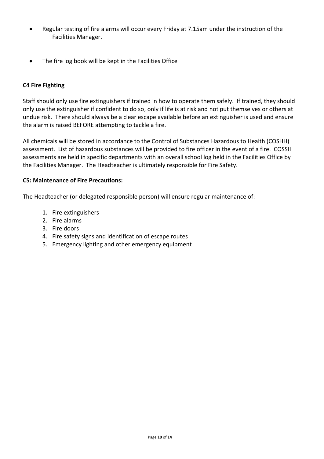- Regular testing of fire alarms will occur every Friday at 7.15am under the instruction of the Facilities Manager.
- The fire log book will be kept in the Facilities Office

#### **C4 Fire Fighting**

Staff should only use fire extinguishers if trained in how to operate them safely. If trained, they should only use the extinguisher if confident to do so, only if life is at risk and not put themselves or others at undue risk. There should always be a clear escape available before an extinguisher is used and ensure the alarm is raised BEFORE attempting to tackle a fire.

All chemicals will be stored in accordance to the Control of Substances Hazardous to Health (COSHH) assessment. List of hazardous substances will be provided to fire officer in the event of a fire. COSSH assessments are held in specific departments with an overall school log held in the Facilities Office by the Facilities Manager. The Headteacher is ultimately responsible for Fire Safety.

#### **C5: Maintenance of Fire Precautions:**

The Headteacher (or delegated responsible person) will ensure regular maintenance of:

- 1. Fire extinguishers
- 2. Fire alarms
- 3. Fire doors
- 4. Fire safety signs and identification of escape routes
- 5. Emergency lighting and other emergency equipment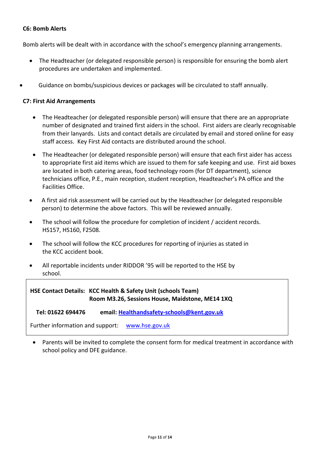#### **C6: Bomb Alerts**

Bomb alerts will be dealt with in accordance with the school's emergency planning arrangements.

- The Headteacher (or delegated responsible person) is responsible for ensuring the bomb alert procedures are undertaken and implemented.
- Guidance on bombs/suspicious devices or packages will be circulated to staff annually.

#### **C7: First Aid Arrangements**

- The Headteacher (or delegated responsible person) will ensure that there are an appropriate number of designated and trained first aiders in the school. First aiders are clearly recognisable from their lanyards. Lists and contact details are circulated by email and stored online for easy staff access. Key First Aid contacts are distributed around the school.
- The Headteacher (or delegated responsible person) will ensure that each first aider has access to appropriate first aid items which are issued to them for safe keeping and use. First aid boxes are located in both catering areas, food technology room (for DT department), science technicians office, P.E., main reception, student reception, Headteacher's PA office and the Facilities Office.
- A first aid risk assessment will be carried out by the Headteacher (or delegated responsible person) to determine the above factors. This will be reviewed annually.
- The school will follow the procedure for completion of incident / accident records. HS157, HS160, F2508.
- The school will follow the KCC procedures for reporting of injuries as stated in the KCC accident book.
- All reportable incidents under RIDDOR '95 will be reported to the HSE by school.

**HSE Contact Details: KCC Health & Safety Unit (schools Team) Room M3.26, Sessions House, Maidstone, ME14 1XQ**

 **Tel: 01622 694476 email: [Healthandsafety-schools@kent.gov.uk](mailto:Healthandsafety-schools@kent.gov.uk)**

Further information and support: [www.hse.gov.uk](http://www.hse.gov.uk/)

 Parents will be invited to complete the consent form for medical treatment in accordance with school policy and DFE guidance.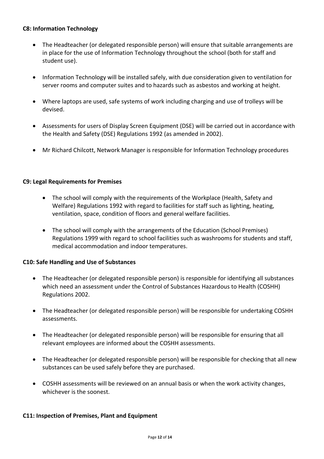#### **C8: Information Technology**

- The Headteacher (or delegated responsible person) will ensure that suitable arrangements are in place for the use of Information Technology throughout the school (both for staff and student use).
- Information Technology will be installed safely, with due consideration given to ventilation for server rooms and computer suites and to hazards such as asbestos and working at height.
- Where laptops are used, safe systems of work including charging and use of trolleys will be devised.
- Assessments for users of Display Screen Equipment (DSE) will be carried out in accordance with the Health and Safety (DSE) Regulations 1992 (as amended in 2002).
- Mr Richard Chilcott, Network Manager is responsible for Information Technology procedures

#### **C9: Legal Requirements for Premises**

- The school will comply with the requirements of the Workplace (Health, Safety and Welfare) Regulations 1992 with regard to facilities for staff such as lighting, heating, ventilation, space, condition of floors and general welfare facilities.
- The school will comply with the arrangements of the Education (School Premises) Regulations 1999 with regard to school facilities such as washrooms for students and staff, medical accommodation and indoor temperatures.

#### **C10: Safe Handling and Use of Substances**

- The Headteacher (or delegated responsible person) is responsible for identifying all substances which need an assessment under the Control of Substances Hazardous to Health (COSHH) Regulations 2002.
- The Headteacher (or delegated responsible person) will be responsible for undertaking COSHH assessments.
- The Headteacher (or delegated responsible person) will be responsible for ensuring that all relevant employees are informed about the COSHH assessments.
- The Headteacher (or delegated responsible person) will be responsible for checking that all new substances can be used safely before they are purchased.
- COSHH assessments will be reviewed on an annual basis or when the work activity changes, whichever is the soonest.

#### **C11: Inspection of Premises, Plant and Equipment**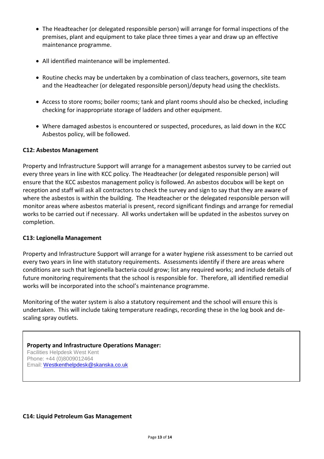- The Headteacher (or delegated responsible person) will arrange for formal inspections of the premises, plant and equipment to take place three times a year and draw up an effective maintenance programme.
- All identified maintenance will be implemented.
- Routine checks may be undertaken by a combination of class teachers, governors, site team and the Headteacher (or delegated responsible person)/deputy head using the checklists.
- Access to store rooms; boiler rooms; tank and plant rooms should also be checked, including checking for inappropriate storage of ladders and other equipment.
- Where damaged asbestos is encountered or suspected, procedures, as laid down in the KCC Asbestos policy, will be followed.

#### **C12: Asbestos Management**

Property and Infrastructure Support will arrange for a management asbestos survey to be carried out every three years in line with KCC policy. The Headteacher (or delegated responsible person) will ensure that the KCC asbestos management policy is followed. An asbestos docubox will be kept on reception and staff will ask all contractors to check the survey and sign to say that they are aware of where the asbestos is within the building. The Headteacher or the delegated responsible person will monitor areas where asbestos material is present, record significant findings and arrange for remedial works to be carried out if necessary. All works undertaken will be updated in the asbestos survey on completion.

#### **C13: Legionella Management**

Property and Infrastructure Support will arrange for a water hygiene risk assessment to be carried out every two years in line with statutory requirements. Assessments identify if there are areas where conditions are such that legionella bacteria could grow; list any required works; and include details of future monitoring requirements that the school is responsible for. Therefore, all identified remedial works will be incorporated into the school's maintenance programme.

Monitoring of the water system is also a statutory requirement and the school will ensure this is undertaken. This will include taking temperature readings, recording these in the log book and descaling spray outlets.

**Property and Infrastructure Operations Manager:**  Facilities Helpdesk West Kent Phone: +44 (0)8009012464 Email: [Westkenthelpdesk@skanska.co.uk](mailto:Westkenthelpdesk@skanska.co.uk)